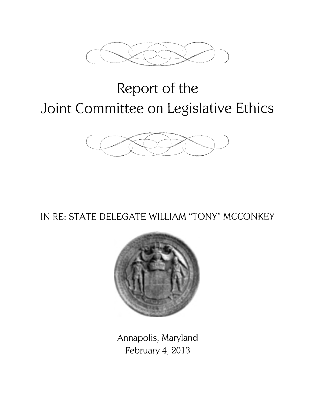

# **Report of the Joint Committee on Legislative Ethics**



# IN RE: STATE DELEGATE WILLIAM "TONY" MCCONKEY



Annapolis, Maryland February 4, 2013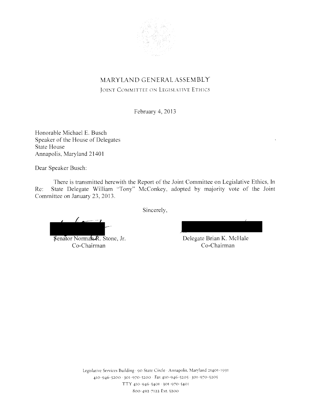

# MARYLAND GENERAL ASSEMBLY

JOINT COMMITTEE ON LEGISLATIVE ETHICS

February 4, 2013

Honorable Michael E. Busch Speaker of the House of Delegates State House Annapolis, Maryland 21401

Dear Speaker Busch:

There is transmitted herewith the Report of the Joint Committee on Legislative Ethics, In Re: State Delegate William "Tony" McConkey, adopted by majority vote of the Joint Committee on January 23, 2013.

Sincerely,

Senator Norman R. Stone, Jr. Co-Chairman

Delegate Brian K. McHale Co-Chairman

Legislative Services Building · 90 State Circle · Annapolis. Maryland 21401-1991 410-946-5200 · 301-970-5200 · Fax 410-946-5205 · 301-970-5205 TTY 410-946-5401 · 301-970-5401 800-492 7122 Ext. 5200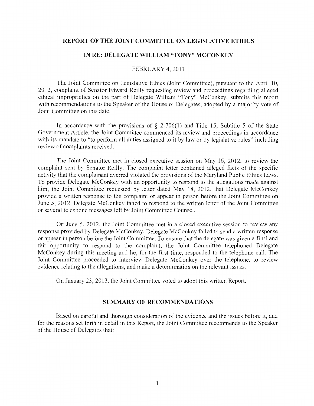#### **REPORT OF THE JOINT COMMITTEE ON LEGISLATIVE ETHICS**

#### **IN RE: DELEGATE WILLIAM "TONY" MCCONKEY**

#### FEBRUARY 4, 2013

The Joint Committee on Legislative Ethics (Joint Committee), pursuant to the April 10, 2012, complaint of Senator Edward Reilly requesting review and proceedings regarding alleged ethical improprieties on the part of Delegate William "Tony" McConkey, submits this report with recommendations to the Speaker of the House of Delegates, adopted by a majority vote of Joint Committee on this date.

In accordance with the provisions of  $\S$  2-706(1) and Title 15, Subtitle 5 of the State Government Article, the Joint Committee commenced its review and proceedings in accordance with its mandate to "to perform all duties assigned to it by law or by legislative rules" including review of complaints received.

The Joint Committee met in closed executive session on May 16, 2012, to review the complaint sent by Senator Reilly. The complaint letter contained alleged facts of the specific activity that the complainant averred violated the provisions of the Maryland Public Ethics Laws. To provide Delegate McConkey with an opportunity to respond to the allegations made against him, the Joint Committee requested by letter dated May 18, 2012, that Delegate McConkey provide a written response to the complaint or appear in person before the Joint Committee on June 5, 2012. Delegate McConkey failed to respond to the written letter of the Joint Committee or several telephone messages left by Joint Committee Counsel.

On June 5, 2012, the Joint Committee met in a closed executive session to review any response provided by Delegate McConkey. Delegate McConkey failed to send a written response or appear in person before the Joint Committee. To ensure that the delegate was given a final and fair opportunity to respond to the complaint, the Joint Committee telephoned Delegate McConkey during this meeting and he, for the first time, responded to the telephone call. The Joint Committee proceeded to interview Delegate McConkey over the telephone, to review evidence relating to the allegations, and make a determination on the relevant issues.

On January 23, 2013, the Joint Committee voted to adopt this written Report.

#### **SUMMARY OF RECOMMENDATIONS**

Based on careful and thorough consideration of the evidence and the issues before it, and for the reasons set forth in detail in this Report, the Joint Committee recommends to the Speaker of the House of Delegates that: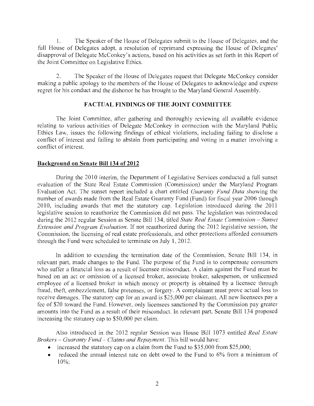1. The Speaker of the House of Delegates submit to the House of Delegates, and the full House of Delegates adopt, a resolution of reprimand expressing the House of Delegates' disapproval of Delegate McConkey's actions, based on his activities as set forth in this Report of the Joint Committee on Legislative Ethics.

2. The Speaker of the House of Delegates request that Delegate McConkey consider making a public apology to the members of the House of Delegates to acknowledge and express regret for his conduct and the dishonor he has brought to the Maryland General Assembly.

#### **FACTUAL FINDINGS OF THE JOINT COMMITTEE**

The Joint Committee, after gathering and thoroughly reviewing all available evidence relating to various activities of Delegate McConkey in connection with the Maryland Public Ethics Law, issues the following findings of ethical violations, including failing to disclose a conflict of interest and failing to abstain from participating and voting in a matter involving a conflict of interest.

#### **Background on Senate Bill 134 of 2012**

During the 2010 interim, the Department of Legislative Services conducted a full sunset evaluation of the State Real Estate Commission (Commission) under the Maryland Program Evaluation Act. The sunset report included a chart entitled *Guaranty Fund Data* showing the number of awards made from the Real Estate Guaranty Fund (Fund) for fiscal year 2006 through 2010, including awards that met the statutory cap. Legislation introduced during the 2011 legislative session to reauthorize the Commission did not pass. The legislation was reintroduced during the 2012 regular Session as Senate Bill 134, titled *State Real Estate Commission – Sunset Extension and Program Evaluation.* If not reauthorized during the 2012 legislative session, the Commission, the licensing of real estate professionals, and other protections afforded consumers through the Fund were scheduled to terminate on July 1, 2012.

In addition to extending the termination date of the Commission, Senate Bill 134, in relevant part, made changes to the Fund. The purpose of the Fund is to compensate consumers who suffer a financial loss as a result of licensee misconduct. A claim against the Fund must be based on an act or omission of a licensed broker, associate broker, salesperson, or unlicensed employee of a licensed broker in which money or property is obtained by a licensee through fraud, theft, embezzlement, false pretenses, or forgery. A complainant must prove actual loss to receive damages. The statutory cap for an award is \$25,000 per claimant. All new licensees pay a fee of \$20 toward the Fund. However, only licensees sanctioned by the Commission pay greater amounts into the Fund as a result of their misconduct. In relevant part, Senate Bill 134 proposed increasing the statutory cap to \$50,000 per claim.

Also introduced in the 2012 regular Session was House Bill 1073 entitled *Real Estate Brokers* - *Guaranty Fund* - *Claims and Repayment.* This bill would have:

- increased the statutory cap on a claim from the Fund to \$35,000 from \$25,000;
- reduced the annual interest rate on debt owed to the Fund to 6% from a minimum of 10%;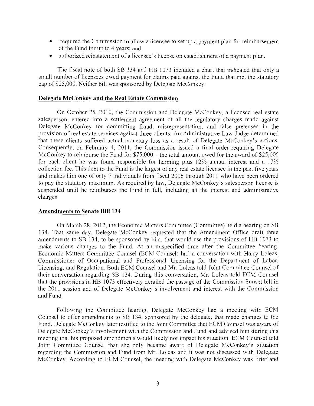- required the Commission to allow a licensee to set up a payment plan for reimbursement of the Fund for up to 4 years; and
- authorized reinstatement of a licensee's license on establishment of a payment plan.

The fiscal note of both SB 134 and HB 1073 included a chart that indicated that only a small number of licensees owed payment for claims paid against the Fund that met the statutory cap of \$25,000. Neither bill was sponsored by Delegate McConkey.

#### **Delegate McConkey and the Real Estate Commission**

On October 25, 2010, the Commission and Delegate McConkey, a licensed real estate salesperson, entered into a settlement agreement of all the regulatory charges made against Delegate McConkey for committing fraud, misrepresentation, and false pretenses in the provision of real estate services against three clients. An Administrative Law Judge determined that these clients suffered actual monetary loss as a result of Delegate McConkey's actions. Consequently, on February 4, 2011, the Commission issued a final order requiring Delegate McConkey to reimburse the Fund for  $$75,000 -$  the total amount owed for the award of  $$25,000$ for each client he was found responsible for harming plus 12% annual interest and a 17% collection fee. This debt to the Fund is the largest of any real estate licensee in the past five years and makes him one of only 7 individuals from fiscal 2006 through 2011 who have been ordered to pay the statutory maximum. As required by law, Delegate McConkey's salesperson license is suspended until he reimburses the Fund in full, including all the interest and administrative charges.

#### **Amendments to Senate Bill 134**

On March 28, 2012, the Economic Matters Committee (Committee) held a hearing on SB 134. That same day, Delegate McConkey requested that the Amendment Office draft three amendments to SB 134, to be sponsored by him, that would use the provisions of HB 1073 to make various changes to the Fund. At an unspecified time after the Committee hearing, Economic Matters Committee Counsel (ECM Counsel) had a conversation with Harry Loleas, Commissioner of Occupational and Professional Licensing for the Department of Labor, Licensing, and Regulation. Both ECM Counsel and Mr. Loleas told Joint Committee Counsel of their conversation regarding SB 134. During this conversation, Mr. Loleas told ECM Counsel that the provisions in HB 1073 effectively derailed the passage of the Commission Sunset bill in the 2011 session and of Delegate McConkey's involvement and interest with the Commission and Fund.

Following the Committee hearing, Delegate McConkey had a meeting with ECM Counsel to offer amendments to SB 134, sponsored by the delegate, that made changes to the Fund. Delegate McConkey later testified to the Joint Committee that ECM Counsel was aware of Delegate McConkey's involvement with the Commission and Fund and advised him during this meeting that his proposed amendments would likely not impact his situation. ECM Counsel told Joint Committee Counsel that she only became aware of Delegate McConkey's situation regarding the Commission and Fund from Mr. Loleas and it was not discussed with Delegate McConkey. According to ECM Counsel, the meeting with Delegate McConkey was brief and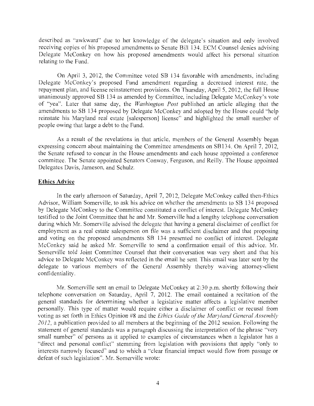described as "awkward" due to her knowledge of the delegate's situation and only involved receiving copies of his proposed amendments to Senate Bill 134. ECM Counsel denies advising Delegate McConkey on how his proposed amendments would affect his personal situation relating to the Fund.

On April 3, 2012, the Committee voted SB 134 favorable with amendments, including Delegate McConkey's proposed Fund amendment regarding a decreased interest rate, the repayment plan, and license reinstatement provisions. On Thursday, April 5, 2012, the full House unanimously approved SB 134 as amended by Committee, including Delegate McConkey's vote of "yea". Later that same day, the *Washington Post* published an article alleging that the amendments to SB 134 proposed by Delegate McConkey and adopted by the House could "help reinstate his Maryland real estate [salesperson] license" and highlighted the small number of people owing that large a debt to the Fund.

As a result of the revelations in that article, members of the General Assembly began expressing concern about maintaining the Committee amendments on SB134. On April 7, 2012, the Senate refused to concur in the House amendments and each house appointed a conference committee. The Senate appointed Senators Conway, Ferguson, and Reilly. The House appointed Delegates Davis, Jameson, and Schulz.

#### **Ethics Advice**

In the early afternoon of Saturday, April 7, 2012, Delegate McConkey called then-Ethics Advisor, William Somerville, to ask his advice on whether the amendments to SB 134 proposed by Delegate McConkey to the Committee constituted a conflict of interest. Delegate McConkey testified to the Joint Committee that he and Mr. Somerville had a lengthy telephone conversation during which Mr. Somerville advised the delegate that having a general disclaimer of conflict for employment as a real estate salesperson on file was a sufficient disclaimer and that proposing and voting on the proposed amendments SB 134 presented no conflict of interest. Delegate McConkey said he asked Mr. Somerville to send a confirmation email of this advice. Mr. Somerville told Joint Committee Counsel that their conversation was very short and that his advice to Delegate McConkey was reflected in the email he sent. This email was later sent by the delegate to various members of the General Assembly thereby waiving attorney-client confidentiality.

Mr. Somerville sent an email to Delegate McConkey at 2:30 p.m. shortly following their telephone conversation on Saturday, April 7, 2012. The email contained a recitation of the general standards for determining whether a legislative matter affects a legislative member personally. This type of matter would require either a disclaimer of conflict or recusal from voting as set forth in Ethics Opinion #8 and the *Ethics Guide of'the Maryland General Assembly*  2012, a publication provided to all members at the beginning of the 2012 session. Following the statement of general standards was a paragraph discussing the interpretation of the phrase "very small number" of persons as it applied to examples of circumstances when a legislator has a "direct and personal conflict" stemming from legislation with provisions that apply "only to interests narrowly focused" and to which a "clear financial impact would flow from passage or defeat of such legislation". Mr. Somerville wrote: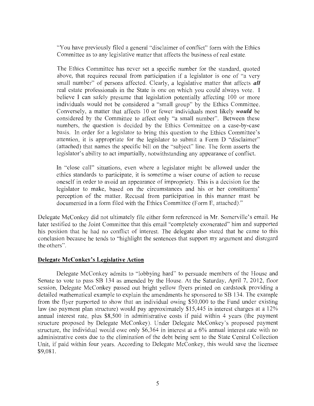"You have previously filed a general "disclaimer of conflict" form with the Ethics Committee as to any legislative matter that affects the business of real estate.

The Ethics Committee has never set a specific number for the standard, quoted above, that requires recusal from participation if a legislator is one of "a very small number" of persons affected. Clearly, a legislative matter that affects *all*  real estate professionals in the State is one on which you could always vote. I believe I can safely presume that legislation potentially affecting 100 or more individuals would not be considered a "small group" by the Ethics Committee. Conversely, a matter that affects 10 or fewer individuals most likely *would* be considered by the Committee to affect only "a small number". Between these numbers, the question is decided by the Ethics Committee on a case-by-case basis. In order for a legislator to bring this question to the Ethics Committee's attention, it is appropriate for the legislator to submit a Form D "disclaimer" (attached) that names the specific bill on the "subject" line. The form asserts the legislator's ability to act impartially, notwithstanding any appearance of conflict.

In "close call" situations, even where a legislator might be allowed under the ethics standards to participate, it is sometime a wiser course of action to recuse oneself in order to avoid an appearance of impropriety. This is a decision for the legislator to make, based on the circumstances and his or her constituents' perception of the matter. Recusal from participation in this manner must be documented in a form filed with the Ethics Committee (Form E, attached)."

Delegate McConkey did not ultimately file either form referenced in Mr. Somerville's email. He later testified to the Joint Committee that this email "completely exonerated" him and supported his position that he had no conflict of interest. The delegate also stated that he came to this conclusion because he tends to "highlight the sentences that support my argument and disregard the others".

#### **Delegate McConkey's Legislative Action**

Delegate McConkey admits to "lobbying hard" to persuade members of the House and Senate to vote to pass SB 134 as amended by the House. At the Saturday, April 7, 2012, floor session, Delegate Mcconkey passed out bright yellow flyers printed on cardstock providing a detailed mathematical example to explain the amendments he sponsored to SB 134. The example from the flyer purported to show that an individual owing \$50,000 to the Fund under existing law (no payment plan structure) would pay approximately \$15,445 in interest charges at a 12% annual interest rate, plus \$8,500 in administrative costs if paid within 4 years (the payment structure proposed by Delegate McConkey). Under Delegate McConkey's proposed payment structure, the individual would owe only \$6,364 in interest at a 6% annual interest rate with no administrative costs due to the elimination of the debt being sent to the State Central Collection Unit, if paid within four years. According to Delegate McConkey, this would save the licensee \$9,081.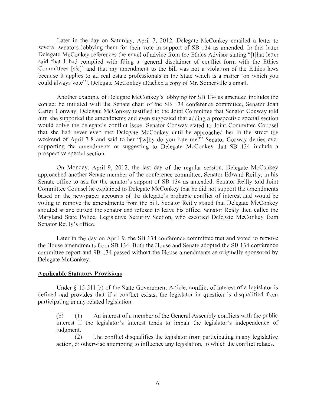Later in the day on Saturday, April 7, 2012, Delegate McConkey emailed a letter to several senators lobbying them for their vote in support of SB 134 as amended. In this letter Delegate McConkey references the email of advice from the Ethics Advisor stating "[t]hat letter said that I had complied with filing a 'general disclaimer of conflict form with the Ethics Committees [sic]' and that my amendment to the bill was not a violation of the Ethics laws because it applies to all real estate professionals in the State which is a matter 'on which you could always vote"'. Delegate McConkey attached a copy of Mr. Somerville's email.

Another example of Delegate McConkey's lobbying for SB 134 as amended includes the contact he initiated with the Senate chair of the **SB** 134 conference committee, Senator Joan Carter Conway. Delegate McConkey testified to the Joint Committee that Senator Conway told him she supported the amendments and even suggested that adding a prospective special section would solve the delegate's conflict issue. Senator Conway stated to Joint Committee Counsel that she had never even met Delegate McConkey until he approached her in the street the weekend of April 7-8 and said to her "[w]hy do you hate me?" Senator Conway denies ever supporting the amendments or suggesting to Delegate McConkey that SB 134 include a prospective special section.

On Monday, April 9, 2012, the last day of the regular session, Delegate McConkey approached another Senate member of the conference committee, Senator Edward Reilly, in his Senate office to ask for the senator's support of SB 134 as amended. Senator Reilly told Joint Committee Counsel he explained to Delegate McConkey that he did not support the amendments based on the newspaper accounts of the delegate's probable conflict of interest and would be voting to remove the amendments from the bill. Senator Reilly stated that Delegate McConkey shouted at and cursed the senator and refused to leave his office. Senator Reilly then called the Maryland State Police, Legislative Security Section, who escorted Delegate McConkey from Senator Reilly's office.

Later in the day on April 9, the SB 134 conference committee met and voted to remove the House amendments from **SB** 134. Both the House and Senate adopted the **SB** 134 conference committee report and **SB** 134 passed without the House amendments as originally sponsored by Delegate Mcconkey.

#### **Applicable Statutory Provisions**

Under § 15-511(b) of the State Government Article, conflict of interest of a legislator is defined and provides that if a conflict exists, the legislator in question is disqualified from participating in any related legislation.

(b) ( 1) An interest of a member of the General Assembly conflicts with the public interest if the legislator's interest tends to impair the legislator's independence of judgment.

(2) The conflict disqualifies the legislator from participating in any legislative action, or otherwise attempting to influence any legislation, to which the conflict relates.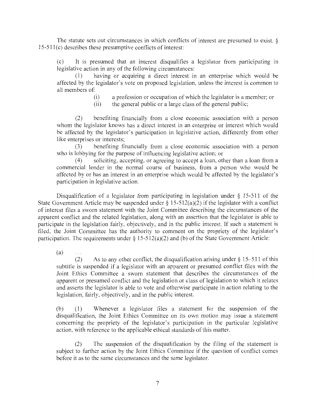The statute sets out circumstances in which conflicts of interest are presumed to exist. §  $15-511(c)$  describes these presumptive conflicts of interest:

(c) It is presumed that an interest disqualifies a legislator from participating in legislative action in any of the following circumstances:

( 1) having or acquiring a direct interest in an enterprise which would be affected by the legislator's vote on proposed legislation, unless the interest is common to all members of:

- (i) a profession or occupation of which the legislator is a member; or
- (ii) the general public or a large class of the general public;

(2) benefiting financially from a close economic association with a person whom the legislator knows has a direct interest in an enterprise or interest which would be affected by the legislator's participation in legislative action, differently from other like enterprises or interests;

(3) benefiting financially from a close economic association with a person who is lobbying for the purpose of influencing legislative action; or

( 4) soliciting, accepting, or agreeing to accept a loan, other than a loan from a commercial lender in the normal course of business, from a person who would be affected by or has an interest in an enterprise which would be affected by the legislator's participation in legislative action.

Disqualification of a legislator from participating in legislation under  $\S$  15-511 of the State Government Article may be suspended under  $\S 15-512(a)(2)$  if the legislator with a conflict of interest files a sworn statement with the Joint Committee describing the circumstances of the apparent conflict and the related legislation, along with an assertion that the legislator is able to participate in the legislation fairly, objectively, and in the public interest. If such a statement is filed, the Joint Committee has the authority to comment on the propriety of the legislator's participation. The requirements under § 15-512(a)(2) and (b) of the State Government Article:

(a)

 $\ldots$ 

(2) As to any other conflict, the disqualification arising under  $\S 15-511$  of this subtitle is suspended if a legislator with an apparent or presumed conflict files with the Joint Ethics Committee a sworn statement that describes the circumstances of the apparent or presumed conflict and the legislation or class of legislation to which it relates and asserts the legislator is able to vote and otherwise participate in action relating to the legislation, fairly, objectively, and in the public interest.

(b) ( 1) Whenever a legislator files a statement for the suspension of the disqualification, the Joint Ethics Committee on its own motion may issue a statement concerning the propriety of the legislator's participation in the particular legislative action, with reference to the applicable ethical standards of this matter.

(2) The suspension of the disqualification by the filing of the statement is subject to further action by the Joint Ethics Committee if the question of conflict comes before it as to the same circumstances and the same legislator.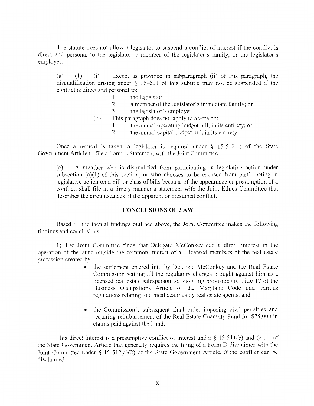The statute does not allow a legislator to suspend a conflict of interest if the conflict is direct and personal to the legislator, a member of the legislator's family, or the legislator's employer:

(a) (1) (i) Except as provided in subparagraph (ii) of this paragraph, the disqualification arising under  $\S$  15-511 of this subtitle may not be suspended if the conflict is direct and personal to:

- 1. the legislator;
- 2. a member of the legislator's immediate family; or
- 3. the legislator's employer.
- (ii) This paragraph does not apply to a vote on:
	- 1. the annual operating budget bill, in its entirety; or
	- 2. the annual capital budget bill, in its entirety.

Once a recusal is taken, a legislator is required under  $\S$  15-512(c) of the State Government Article to file a Form E Statement with the Joint Committee:

(c) A member who is disqualified from participating in legislative action under subsection  $(a)(1)$  of this section, or who chooses to be excused from participating in legislative action on a bill or class of bills because of the appearance or presumption of a conflict, shall file in a timely manner a statement with the Joint Ethics Committee that describes the circumstances of the apparent or presumed conflict.

#### **CONCLUSIONS OF LAW**

Based on the factual findings outlined above, the Joint Committee makes the following findings and conclusions:

1) The Joint Committee finds that Delegate McConkey had a direct interest in the operation of the Fund outside the common interest of all licensed members of the real estate profession created by:

- the settlement entered into by Delegate McConkey and the Real Estate Commission settling all the regulatory charges brought against him as a licensed real estate salesperson for violating provisions of Title 17 of the Business Occupations Article of the Maryland Code and vanous regulations relating to ethical dealings by real estate agents; and
- the Commission's subsequent final order imposing civil penalties and requiring reimbursement of the Real Estate Guaranty Fund for \$75,000 in claims paid against the Fund.

This direct interest is a presumptive conflict of interest under  $\S$  15-511(b) and (c)(1) of the State Government Article that generally requires the filing of a Form D disclaimer with the Joint Committee under § l 5-512(a)(2) of the State Government Article, *if* the conflict can be disclaimed.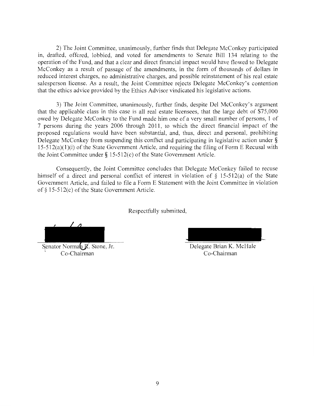2) The Joint Committee, unanimously, further finds that Delegate McConkey participated in, drafted, offered, lobbied, and voted for amendments to Senate Bill 134 relating to the operation of the Fund, and that a clear and direct financial impact would have flowed to Delegate McConkey as a result of passage of the amendments, in the form of thousands of dollars in reduced interest charges, no administrative charges, and possible reinstatement of his real estate salesperson license. As a result, the Joint Committee rejects Delegate McConkey's contention that the ethics advice provided by the Ethics Advisor vindicated his legislative actions.

3) The Joint Committee, unanimously, further finds, despite Del McConkey's argument that the applicable class in this case is all real estate licensees, that the large debt of \$75,000 owed by Delegate McConkey to the Fund made him one of a very small number of persons, 1 of 7 persons during the years 2006 through 2011, to which the direct financial impact of the proposed regulations would have been substantial, and, thus, direct and personal, prohibiting Delegate McConkey from suspending this conflict and participating in legislative action under §  $15-512(a)(1)(i)$  of the State Government Article, and requiring the filing of Form E Recusal with the Joint Committee under  $\S$  15-512(c) of the State Government Article.

Consequently, the Joint Committee concludes that Delegate McConkey failed to recuse himself of a direct and personal conflict of interest in violation of  $\S$  15-512(a) of the State Government Article, and failed to file a Form E Statement with the Joint Committee in violation of § 15-512(c) of the State Government Article.

Respectfully submitted,

Senator Norman **R**. Stone, Jr. Co-Chairman

Delegate Brian K. McHale Co-Chairman